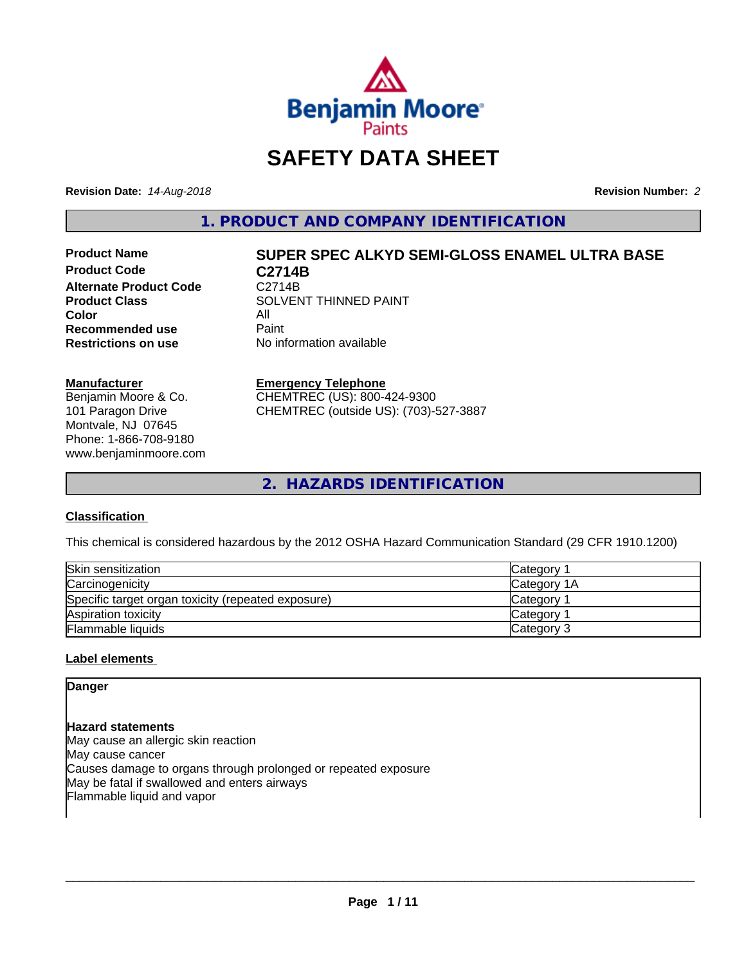

# **SAFETY DATA SHEET**

**Revision Date:** *14-Aug-2018* **Revision Number:** *2*

**1. PRODUCT AND COMPANY IDENTIFICATION**

**Product Code C2714B**<br>Alternate Product Code C2714B **Alternate Product Code**<br>Product Class **Color** All<br> **Recommended use** Paint **Recommended use**<br>Restrictions on use

# **Product Name SUPER SPEC ALKYD SEMI-GLOSS ENAMEL ULTRA BASE**

**SOLVENT THINNED PAINT No information available** 

#### **Manufacturer**

Benjamin Moore & Co. 101 Paragon Drive Montvale, NJ 07645 Phone: 1-866-708-9180 www.benjaminmoore.com

#### **Emergency Telephone**

CHEMTREC (US): 800-424-9300 CHEMTREC (outside US): (703)-527-3887

**2. HAZARDS IDENTIFICATION**

#### **Classification**

This chemical is considered hazardous by the 2012 OSHA Hazard Communication Standard (29 CFR 1910.1200)

| Skin sensitization                                 | Category    |
|----------------------------------------------------|-------------|
| Carcinogenicity                                    | Category 1A |
| Specific target organ toxicity (repeated exposure) | Category    |
| Aspiration toxicity                                | Category    |
| <b>Flammable liquids</b>                           | Category 3  |

#### **Label elements**

**Danger**

### **Hazard statements**

May cause an allergic skin reaction May cause cancer Causes damage to organs through prolonged or repeated exposure May be fatal if swallowed and enters airways Flammable liquid and vapor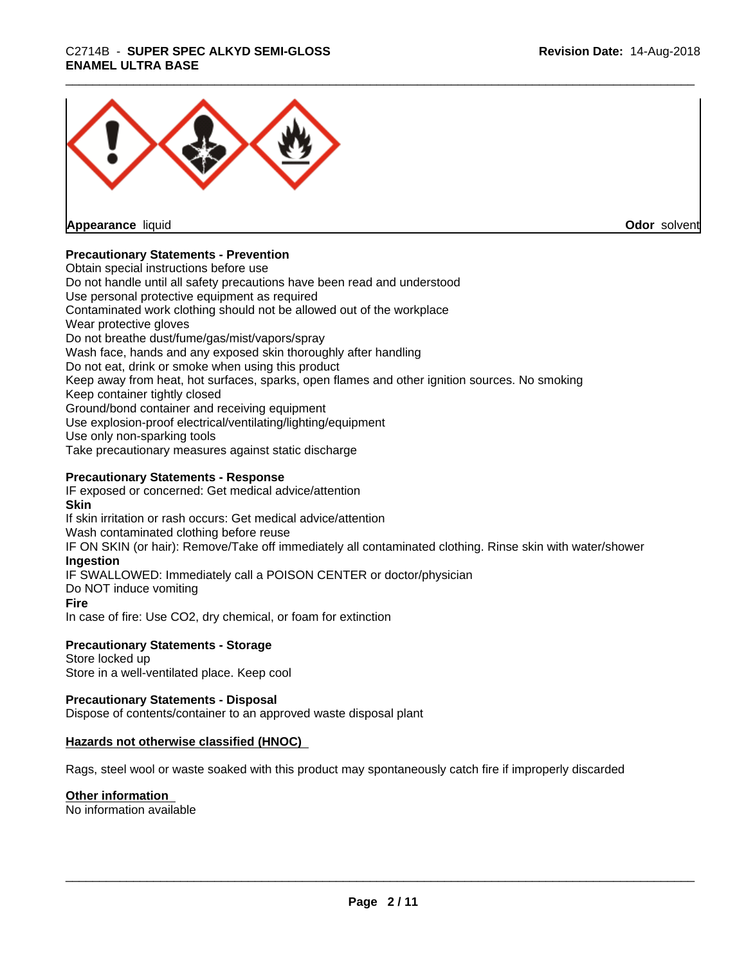# \_\_\_\_\_\_\_\_\_\_\_\_\_\_\_\_\_\_\_\_\_\_\_\_\_\_\_\_\_\_\_\_\_\_\_\_\_\_\_\_\_\_\_\_\_\_\_\_\_\_\_\_\_\_\_\_\_\_\_\_\_\_\_\_\_\_\_\_\_\_\_\_\_\_\_\_\_\_\_\_\_\_\_\_\_\_\_\_\_\_\_\_\_ C2714B - **SUPER SPEC ALKYD SEMI-GLOSS ENAMEL ULTRA BASE**



**Appearance** liquid

**Odor** solvent

#### **Precautionary Statements - Prevention**

Obtain special instructions before use Do not handle until all safety precautions have been read and understood Use personal protective equipment as required Contaminated work clothing should not be allowed out of the workplace Wear protective gloves Do not breathe dust/fume/gas/mist/vapors/spray Wash face, hands and any exposed skin thoroughly after handling Do not eat, drink or smoke when using this product Keep away from heat, hot surfaces, sparks, open flames and other ignition sources. No smoking Keep container tightly closed Ground/bond container and receiving equipment Use explosion-proof electrical/ventilating/lighting/equipment Use only non-sparking tools Take precautionary measures against static discharge

#### **Precautionary Statements - Response**

IF exposed or concerned: Get medical advice/attention **Skin** If skin irritation or rash occurs: Get medical advice/attention Wash contaminated clothing before reuse IF ON SKIN (or hair): Remove/Take off immediately all contaminated clothing. Rinse skin with water/shower **Ingestion** IF SWALLOWED: Immediately call a POISON CENTER or doctor/physician Do NOT induce vomiting **Fire** In case of fire: Use CO2, dry chemical, or foam for extinction

#### **Precautionary Statements - Storage**

Store locked up Store in a well-ventilated place. Keep cool

#### **Precautionary Statements - Disposal**

Dispose of contents/container to an approved waste disposal plant

#### **Hazards not otherwise classified (HNOC)**

Rags, steel wool or waste soaked with this product may spontaneously catch fire if improperly discarded

#### **Other information**

No information available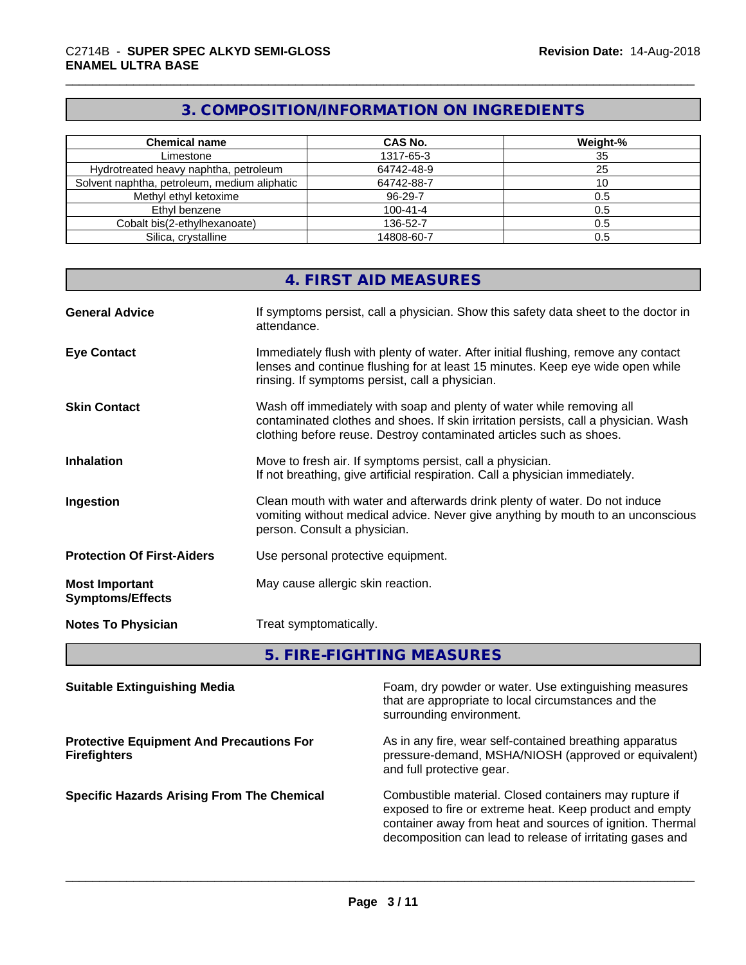# **3. COMPOSITION/INFORMATION ON INGREDIENTS**

| <b>Chemical name</b>                         | CAS No.        | Weight-% |
|----------------------------------------------|----------------|----------|
| Limestone                                    | 1317-65-3      | 35       |
| Hydrotreated heavy naphtha, petroleum        | 64742-48-9     | 25       |
| Solvent naphtha, petroleum, medium aliphatic | 64742-88-7     |          |
| Methyl ethyl ketoxime                        | 96-29-7        | 0.5      |
| Ethyl benzene                                | $100 - 41 - 4$ | 0.5      |
| Cobalt bis(2-ethylhexanoate)                 | 136-52-7       | 0.5      |
| Silica, crystalline                          | 14808-60-7     | 0.5      |

|                                                  | 4. FIRST AID MEASURES                                                                                                                                                                                                               |
|--------------------------------------------------|-------------------------------------------------------------------------------------------------------------------------------------------------------------------------------------------------------------------------------------|
| <b>General Advice</b>                            | If symptoms persist, call a physician. Show this safety data sheet to the doctor in<br>attendance.                                                                                                                                  |
| <b>Eye Contact</b>                               | Immediately flush with plenty of water. After initial flushing, remove any contact<br>lenses and continue flushing for at least 15 minutes. Keep eye wide open while<br>rinsing. If symptoms persist, call a physician.             |
| <b>Skin Contact</b>                              | Wash off immediately with soap and plenty of water while removing all<br>contaminated clothes and shoes. If skin irritation persists, call a physician. Wash<br>clothing before reuse. Destroy contaminated articles such as shoes. |
| <b>Inhalation</b>                                | Move to fresh air. If symptoms persist, call a physician.<br>If not breathing, give artificial respiration. Call a physician immediately.                                                                                           |
| Ingestion                                        | Clean mouth with water and afterwards drink plenty of water. Do not induce<br>vomiting without medical advice. Never give anything by mouth to an unconscious<br>person. Consult a physician.                                       |
| <b>Protection Of First-Aiders</b>                | Use personal protective equipment.                                                                                                                                                                                                  |
| <b>Most Important</b><br><b>Symptoms/Effects</b> | May cause allergic skin reaction.                                                                                                                                                                                                   |
| <b>Notes To Physician</b>                        | Treat symptomatically.                                                                                                                                                                                                              |

**5. FIRE-FIGHTING MEASURES**

| <b>Suitable Extinguishing Media</b>                                    | Foam, dry powder or water. Use extinguishing measures<br>that are appropriate to local circumstances and the<br>surrounding environment.                                                                                                    |
|------------------------------------------------------------------------|---------------------------------------------------------------------------------------------------------------------------------------------------------------------------------------------------------------------------------------------|
| <b>Protective Equipment And Precautions For</b><br><b>Firefighters</b> | As in any fire, wear self-contained breathing apparatus<br>pressure-demand, MSHA/NIOSH (approved or equivalent)<br>and full protective gear.                                                                                                |
| <b>Specific Hazards Arising From The Chemical</b>                      | Combustible material. Closed containers may rupture if<br>exposed to fire or extreme heat. Keep product and empty<br>container away from heat and sources of ignition. Thermal<br>decomposition can lead to release of irritating gases and |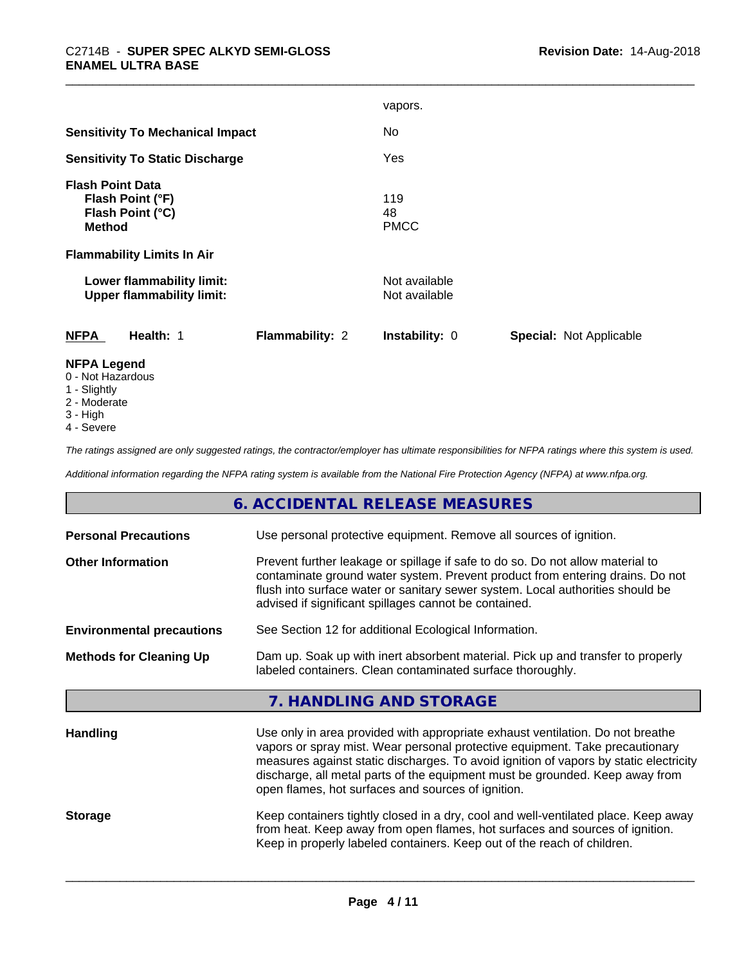|                                             | vapors.                                          |
|---------------------------------------------|--------------------------------------------------|
| <b>Sensitivity To Mechanical Impact</b>     | No.                                              |
| <b>Sensitivity To Static Discharge</b>      | Yes                                              |
| <b>Flash Point Data</b>                     |                                                  |
| Flash Point (°F)                            | 119                                              |
| Flash Point (°C)                            | 48                                               |
| <b>Method</b>                               | <b>PMCC</b>                                      |
| <b>Flammability Limits In Air</b>           |                                                  |
| Lower flammability limit:                   | Not available                                    |
|                                             |                                                  |
| <b>Upper flammability limit:</b>            | Not available                                    |
| <b>NFPA</b><br>Health: 1<br>Flammability: 2 | Instability: 0<br><b>Special: Not Applicable</b> |
| <b>NFPA Legend</b>                          |                                                  |

- 0 Not Hazardous
- 1 Slightly
- 2 Moderate
- 3 High
- 4 Severe

*The ratings assigned are only suggested ratings, the contractor/employer has ultimate responsibilities for NFPA ratings where this system is used.*

*Additional information regarding the NFPA rating system is available from the National Fire Protection Agency (NFPA) at www.nfpa.org.*

## **6. ACCIDENTAL RELEASE MEASURES**

| <b>Personal Precautions</b>      | Use personal protective equipment. Remove all sources of ignition.                                                                                                                                                                                                                                                                                                                            |
|----------------------------------|-----------------------------------------------------------------------------------------------------------------------------------------------------------------------------------------------------------------------------------------------------------------------------------------------------------------------------------------------------------------------------------------------|
| <b>Other Information</b>         | Prevent further leakage or spillage if safe to do so. Do not allow material to<br>contaminate ground water system. Prevent product from entering drains. Do not<br>flush into surface water or sanitary sewer system. Local authorities should be<br>advised if significant spillages cannot be contained.                                                                                    |
| <b>Environmental precautions</b> | See Section 12 for additional Ecological Information.                                                                                                                                                                                                                                                                                                                                         |
| <b>Methods for Cleaning Up</b>   | Dam up. Soak up with inert absorbent material. Pick up and transfer to properly<br>labeled containers. Clean contaminated surface thoroughly.                                                                                                                                                                                                                                                 |
|                                  | 7. HANDLING AND STORAGE                                                                                                                                                                                                                                                                                                                                                                       |
| <b>Handling</b>                  | Use only in area provided with appropriate exhaust ventilation. Do not breathe<br>vapors or spray mist. Wear personal protective equipment. Take precautionary<br>measures against static discharges. To avoid ignition of vapors by static electricity<br>discharge, all metal parts of the equipment must be grounded. Keep away from<br>open flames, hot surfaces and sources of ignition. |
| <b>Storage</b>                   | Keep containers tightly closed in a dry, cool and well-ventilated place. Keep away<br>from heat. Keep away from open flames, hot surfaces and sources of ignition.<br>Keep in properly labeled containers. Keep out of the reach of children.                                                                                                                                                 |
|                                  |                                                                                                                                                                                                                                                                                                                                                                                               |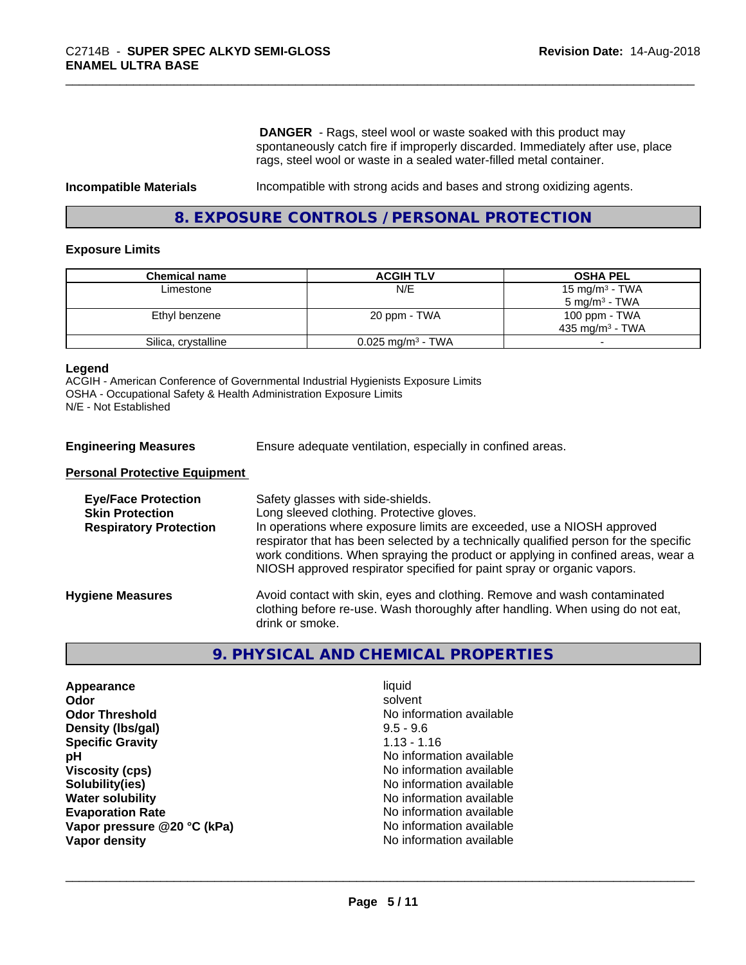**DANGER** - Rags, steel wool or waste soaked with this product may spontaneously catch fire if improperly discarded. Immediately after use, place rags, steel wool or waste in a sealed water-filled metal container.

**Incompatible Materials Incompatible with strong acids and bases and strong oxidizing agents.** 

### **8. EXPOSURE CONTROLS / PERSONAL PROTECTION**

#### **Exposure Limits**

| <b>Chemical name</b> | <b>ACGIH TLV</b>                | <b>OSHA PEL</b>            |
|----------------------|---------------------------------|----------------------------|
| Limestone            | N/E                             | 15 mg/m <sup>3</sup> - TWA |
|                      |                                 | $5 \text{ mg/m}^3$ - TWA   |
| Ethyl benzene        | 20 ppm - TWA                    | 100 ppm - TWA              |
|                      |                                 | $435 \text{ ma/m}^3$ - TWA |
| Silica, crystalline  | $0.025$ mg/m <sup>3</sup> - TWA |                            |

#### **Legend**

ACGIH - American Conference of Governmental Industrial Hygienists Exposure Limits OSHA - Occupational Safety & Health Administration Exposure Limits N/E - Not Established

**Engineering Measures** Ensure adequate ventilation, especially in confined areas.

#### **Personal Protective Equipment**

| <b>Eye/Face Protection</b><br><b>Skin Protection</b><br><b>Respiratory Protection</b> | Safety glasses with side-shields.<br>Long sleeved clothing. Protective gloves.<br>In operations where exposure limits are exceeded, use a NIOSH approved<br>respirator that has been selected by a technically qualified person for the specific<br>work conditions. When spraying the product or applying in confined areas, wear a<br>NIOSH approved respirator specified for paint spray or organic vapors. |
|---------------------------------------------------------------------------------------|----------------------------------------------------------------------------------------------------------------------------------------------------------------------------------------------------------------------------------------------------------------------------------------------------------------------------------------------------------------------------------------------------------------|
| <b>Hygiene Measures</b>                                                               | Avoid contact with skin, eyes and clothing. Remove and wash contaminated<br>clothing before re-use. Wash thoroughly after handling. When using do not eat,<br>drink or smoke.                                                                                                                                                                                                                                  |

#### **9. PHYSICAL AND CHEMICAL PROPERTIES**

| Appearance                  | liquid                   |
|-----------------------------|--------------------------|
| Odor                        | solvent                  |
| <b>Odor Threshold</b>       | No information available |
| Density (Ibs/gal)           | $9.5 - 9.6$              |
| <b>Specific Gravity</b>     | $1.13 - 1.16$            |
| рH                          | No information available |
| <b>Viscosity (cps)</b>      | No information available |
| Solubility(ies)             | No information available |
| <b>Water solubility</b>     | No information available |
| <b>Evaporation Rate</b>     | No information available |
| Vapor pressure @20 °C (kPa) | No information available |
| Vapor density               | No information available |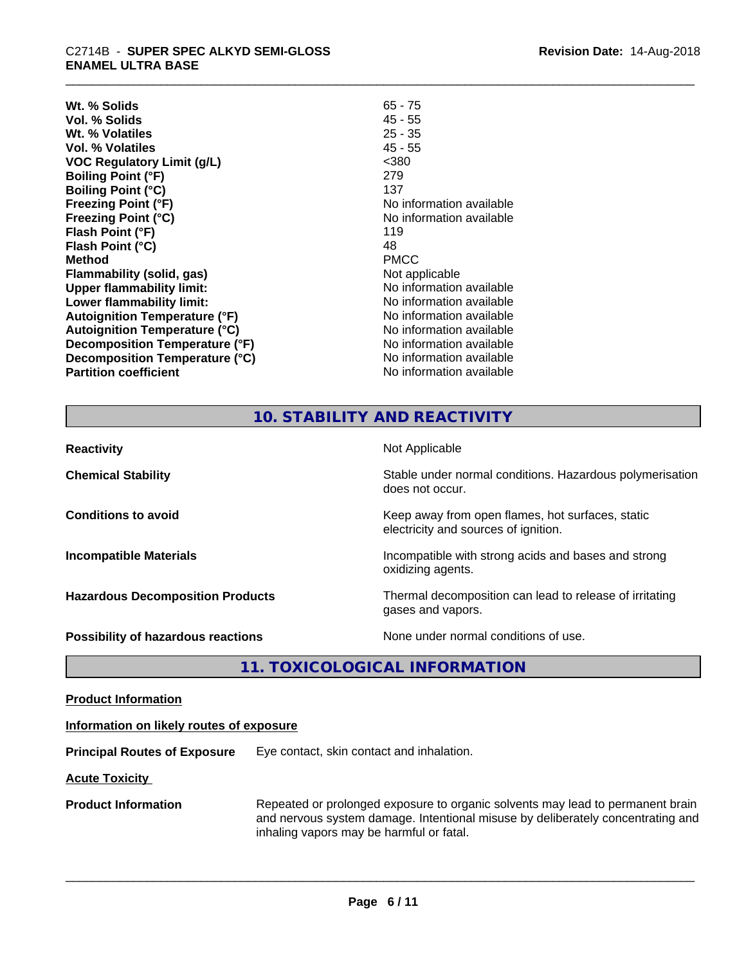# \_\_\_\_\_\_\_\_\_\_\_\_\_\_\_\_\_\_\_\_\_\_\_\_\_\_\_\_\_\_\_\_\_\_\_\_\_\_\_\_\_\_\_\_\_\_\_\_\_\_\_\_\_\_\_\_\_\_\_\_\_\_\_\_\_\_\_\_\_\_\_\_\_\_\_\_\_\_\_\_\_\_\_\_\_\_\_\_\_\_\_\_\_ C2714B - **SUPER SPEC ALKYD SEMI-GLOSS ENAMEL ULTRA BASE**

| Wt. % Solids                         | $65 - 75$                |
|--------------------------------------|--------------------------|
| Vol. % Solids                        | $45 - 55$                |
| Wt. % Volatiles                      | $25 - 35$                |
| <b>Vol. % Volatiles</b>              | 45 - 55                  |
| <b>VOC Regulatory Limit (g/L)</b>    | $<$ 380                  |
| <b>Boiling Point (°F)</b>            | 279                      |
| <b>Boiling Point (°C)</b>            | 137                      |
| <b>Freezing Point (°F)</b>           | No information available |
| <b>Freezing Point (°C)</b>           | No information available |
| Flash Point (°F)                     | 119                      |
| Flash Point (°C)                     | 48                       |
| <b>Method</b>                        | <b>PMCC</b>              |
| Flammability (solid, gas)            | Not applicable           |
| <b>Upper flammability limit:</b>     | No information available |
| Lower flammability limit:            | No information available |
| <b>Autoignition Temperature (°F)</b> | No information available |
| <b>Autoignition Temperature (°C)</b> | No information available |
| Decomposition Temperature (°F)       | No information available |
| Decomposition Temperature (°C)       | No information available |
| <b>Partition coefficient</b>         | No information available |

# **10. STABILITY AND REACTIVITY**

| <b>Reactivity</b>                       | Not Applicable                                                                           |
|-----------------------------------------|------------------------------------------------------------------------------------------|
| <b>Chemical Stability</b>               | Stable under normal conditions. Hazardous polymerisation<br>does not occur.              |
| <b>Conditions to avoid</b>              | Keep away from open flames, hot surfaces, static<br>electricity and sources of ignition. |
| <b>Incompatible Materials</b>           | Incompatible with strong acids and bases and strong<br>oxidizing agents.                 |
| <b>Hazardous Decomposition Products</b> | Thermal decomposition can lead to release of irritating<br>gases and vapors.             |
| Possibility of hazardous reactions      | None under normal conditions of use.                                                     |

**11. TOXICOLOGICAL INFORMATION**

**Product Information**

#### **Information on likely routes of exposure**

**Principal Routes of Exposure** Eye contact, skin contact and inhalation.

**Acute Toxicity** 

**Product Information** Repeated or prolonged exposure to organic solvents may lead to permanent brain and nervous system damage. Intentional misuse by deliberately concentrating and inhaling vapors may be harmful or fatal.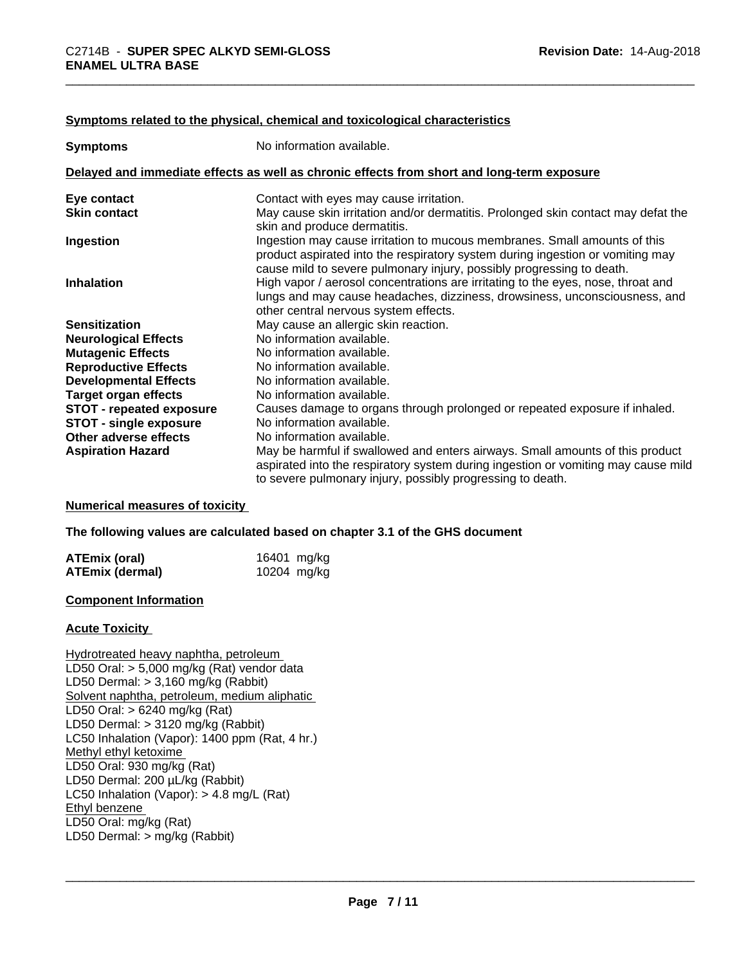#### **Symptoms related to the physical, chemical and toxicological characteristics**

| <b>Symptoms</b>                 | No information available.                                                                                                                                                                                                            |
|---------------------------------|--------------------------------------------------------------------------------------------------------------------------------------------------------------------------------------------------------------------------------------|
|                                 | Delayed and immediate effects as well as chronic effects from short and long-term exposure                                                                                                                                           |
| Eye contact                     | Contact with eyes may cause irritation.                                                                                                                                                                                              |
| <b>Skin contact</b>             | May cause skin irritation and/or dermatitis. Prolonged skin contact may defat the<br>skin and produce dermatitis.                                                                                                                    |
| Ingestion                       | Ingestion may cause irritation to mucous membranes. Small amounts of this<br>product aspirated into the respiratory system during ingestion or vomiting may<br>cause mild to severe pulmonary injury, possibly progressing to death. |
| <b>Inhalation</b>               | High vapor / aerosol concentrations are irritating to the eyes, nose, throat and<br>lungs and may cause headaches, dizziness, drowsiness, unconsciousness, and<br>other central nervous system effects.                              |
| <b>Sensitization</b>            | May cause an allergic skin reaction.                                                                                                                                                                                                 |
| <b>Neurological Effects</b>     | No information available.                                                                                                                                                                                                            |
| <b>Mutagenic Effects</b>        | No information available.                                                                                                                                                                                                            |
| <b>Reproductive Effects</b>     | No information available.                                                                                                                                                                                                            |
| <b>Developmental Effects</b>    | No information available.                                                                                                                                                                                                            |
| <b>Target organ effects</b>     | No information available.                                                                                                                                                                                                            |
| <b>STOT - repeated exposure</b> | Causes damage to organs through prolonged or repeated exposure if inhaled.                                                                                                                                                           |
| STOT - single exposure          | No information available.                                                                                                                                                                                                            |
| Other adverse effects           | No information available.                                                                                                                                                                                                            |
| <b>Aspiration Hazard</b>        | May be harmful if swallowed and enters airways. Small amounts of this product<br>aspirated into the respiratory system during ingestion or vomiting may cause mild<br>to severe pulmonary injury, possibly progressing to death.     |

#### **Numerical measures of toxicity**

#### **The following values are calculated based on chapter 3.1 of the GHS document**

| ATEmix (oral)   | 16401 mg/kg |
|-----------------|-------------|
| ATEmix (dermal) | 10204 mg/kg |

#### **Component Information**

#### **Acute Toxicity**

Hydrotreated heavy naphtha, petroleum LD50 Oral: > 5,000 mg/kg (Rat) vendor data LD50 Dermal: > 3,160 mg/kg (Rabbit) Solvent naphtha, petroleum, medium aliphatic LD50 Oral: > 6240 mg/kg (Rat) LD50 Dermal: > 3120 mg/kg (Rabbit) LC50 Inhalation (Vapor): 1400 ppm (Rat, 4 hr.) Methyl ethyl ketoxime LD50 Oral: 930 mg/kg (Rat) LD50 Dermal: 200 µL/kg (Rabbit) LC50 Inhalation (Vapor): > 4.8 mg/L (Rat) Ethyl benzene LD50 Oral: mg/kg (Rat) LD50 Dermal: > mg/kg (Rabbit)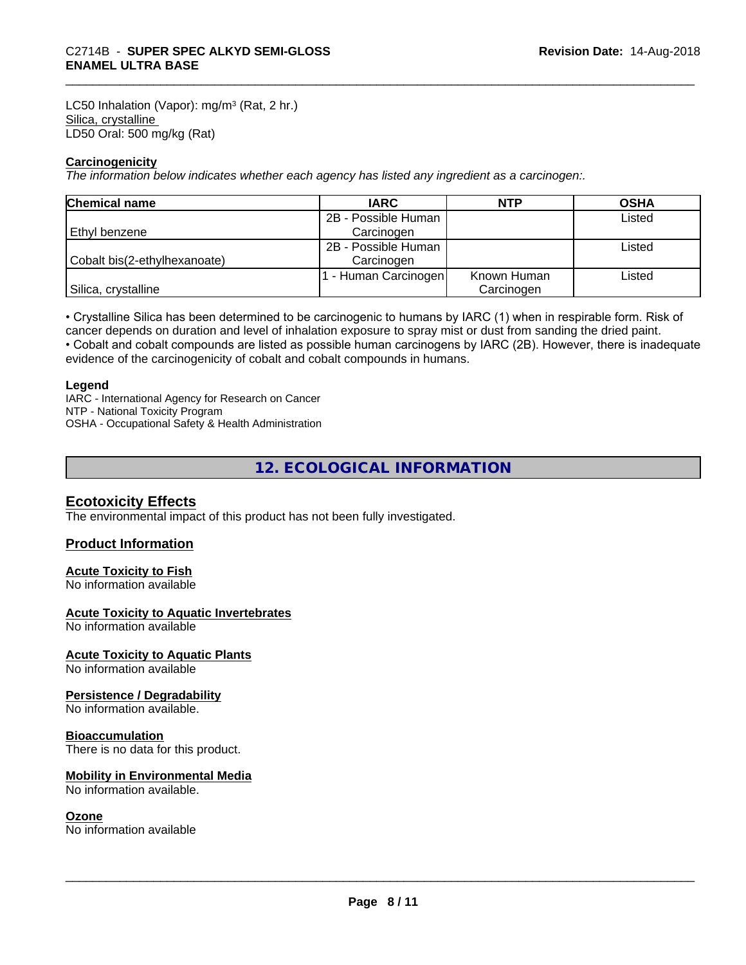LC50 Inhalation (Vapor): mg/m<sup>3</sup> (Rat, 2 hr.) Silica, crystalline LD50 Oral: 500 mg/kg (Rat)

#### **Carcinogenicity**

*The information below indicateswhether each agency has listed any ingredient as a carcinogen:.*

| <b>Chemical name</b>         | <b>IARC</b>         | <b>NTP</b>  | <b>OSHA</b> |
|------------------------------|---------------------|-------------|-------------|
|                              | 2B - Possible Human |             | Listed      |
| Ethyl benzene                | Carcinogen          |             |             |
|                              | 2B - Possible Human |             | Listed      |
| Cobalt bis(2-ethylhexanoate) | Carcinogen          |             |             |
|                              | - Human Carcinogen  | Known Human | Listed      |
| Silica, crystalline          |                     | Carcinogen  |             |

• Crystalline Silica has been determined to be carcinogenic to humans by IARC (1) when in respirable form. Risk of cancer depends on duration and level of inhalation exposure to spray mist or dust from sanding the dried paint.• Cobalt and cobalt compounds are listed as possible human carcinogens by IARC (2B). However, there is inadequate evidence of the carcinogenicity of cobalt and cobalt compounds in humans.

#### **Legend**

IARC - International Agency for Research on Cancer NTP - National Toxicity Program OSHA - Occupational Safety & Health Administration

### **12. ECOLOGICAL INFORMATION**

#### **Ecotoxicity Effects**

The environmental impact of this product has not been fully investigated.

#### **Product Information**

#### **Acute Toxicity to Fish**

No information available

#### **Acute Toxicity to Aquatic Invertebrates**

No information available

#### **Acute Toxicity to Aquatic Plants**

No information available

#### **Persistence / Degradability**

No information available.

#### **Bioaccumulation**

There is no data for this product.

#### **Mobility in Environmental Media**

No information available.

#### **Ozone**

No information available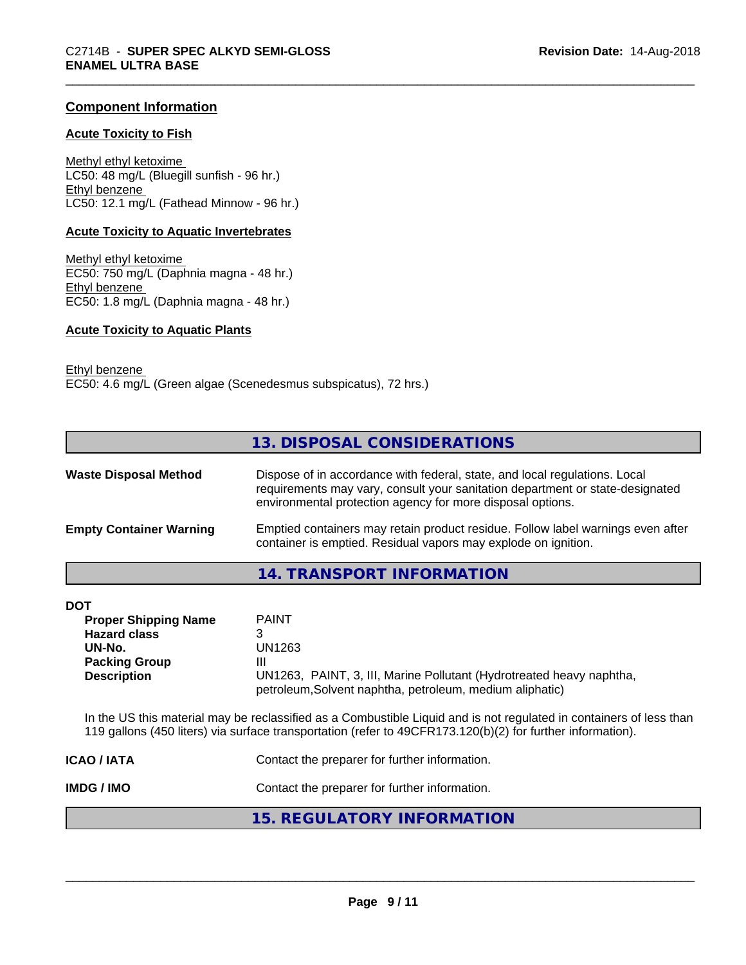#### **Component Information**

#### **Acute Toxicity to Fish**

Methyl ethyl ketoxime LC50: 48 mg/L (Bluegill sunfish - 96 hr.) Ethyl benzene LC50: 12.1 mg/L (Fathead Minnow - 96 hr.)

#### **Acute Toxicity to Aquatic Invertebrates**

Methyl ethyl ketoxime EC50: 750 mg/L (Daphnia magna - 48 hr.) Ethyl benzene EC50: 1.8 mg/L (Daphnia magna - 48 hr.)

#### **Acute Toxicity to Aquatic Plants**

Ethyl benzene EC50: 4.6 mg/L (Green algae (Scenedesmus subspicatus), 72 hrs.)

|                                                                                                                          | 13. DISPOSAL CONSIDERATIONS                                                                                                                                                                                                       |
|--------------------------------------------------------------------------------------------------------------------------|-----------------------------------------------------------------------------------------------------------------------------------------------------------------------------------------------------------------------------------|
| <b>Waste Disposal Method</b>                                                                                             | Dispose of in accordance with federal, state, and local regulations. Local<br>requirements may vary, consult your sanitation department or state-designated<br>environmental protection agency for more disposal options.         |
| <b>Empty Container Warning</b>                                                                                           | Emptied containers may retain product residue. Follow label warnings even after<br>container is emptied. Residual vapors may explode on ignition.                                                                                 |
|                                                                                                                          | <b>14. TRANSPORT INFORMATION</b>                                                                                                                                                                                                  |
| <b>DOT</b><br><b>Proper Shipping Name</b><br><b>Hazard class</b><br>UN-No.<br><b>Packing Group</b><br><b>Description</b> | <b>PAINT</b><br>3<br><b>UN1263</b><br>Ш<br>UN1263, PAINT, 3, III, Marine Pollutant (Hydrotreated heavy naphtha,<br>petroleum, Solvent naphtha, petroleum, medium aliphatic)                                                       |
|                                                                                                                          | In the US this material may be reclassified as a Combustible Liquid and is not regulated in containers of less than<br>119 gallons (450 liters) via surface transportation (refer to 49CFR173.120(b)(2) for further information). |
| <b>ICAO / IATA</b>                                                                                                       | Contact the preparer for further information.                                                                                                                                                                                     |
| <b>IMDG/IMO</b>                                                                                                          | Contact the preparer for further information.                                                                                                                                                                                     |
|                                                                                                                          | <b>15. REGULATORY INFORMATION</b>                                                                                                                                                                                                 |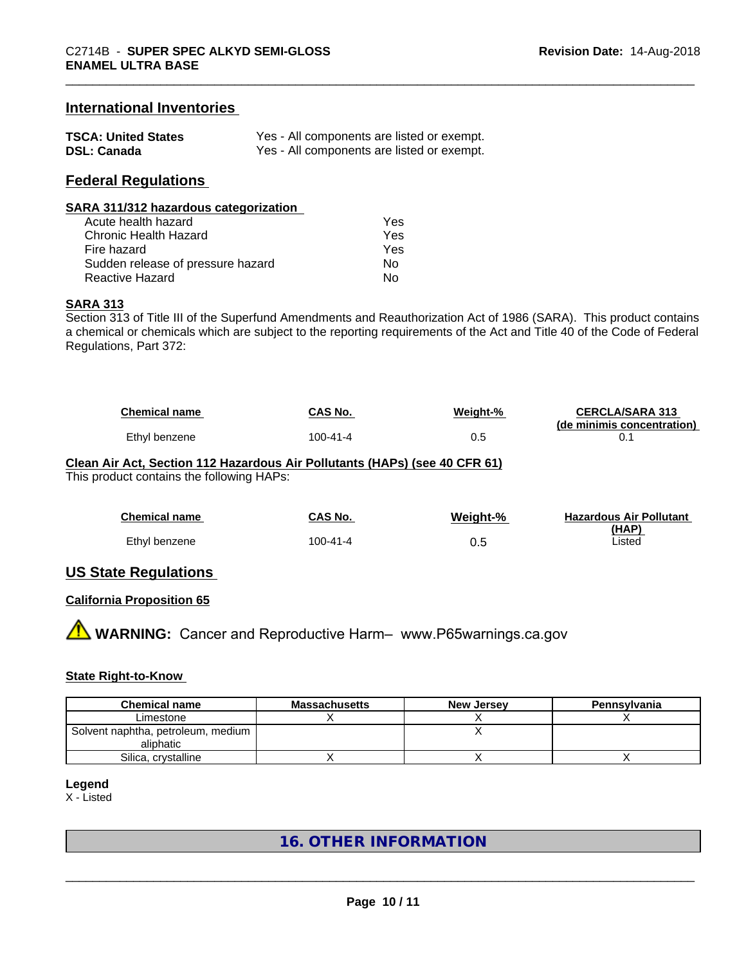#### **International Inventories**

| <b>TSCA: United States</b> | Yes - All components are listed or exempt. |
|----------------------------|--------------------------------------------|
| <b>DSL: Canada</b>         | Yes - All components are listed or exempt. |

#### **Federal Regulations**

#### **SARA 311/312 hazardous categorization**

| Acute health hazard               | Yes |  |
|-----------------------------------|-----|--|
| Chronic Health Hazard             | Yes |  |
| Fire hazard                       | Yes |  |
| Sudden release of pressure hazard | Nο  |  |
| Reactive Hazard                   | N٥  |  |

#### **SARA 313**

Section 313 of Title III of the Superfund Amendments and Reauthorization Act of 1986 (SARA). This product contains a chemical or chemicals which are subject to the reporting requirements of the Act and Title 40 of the Code of Federal Regulations, Part 372:

| <b>Chemical name</b> | CAS No.  | Weight-% | <b>CERCLA/SARA 313</b><br>(de minimis concentration) |
|----------------------|----------|----------|------------------------------------------------------|
| Ethyl benzene        | 100-41-4 |          |                                                      |

# **Clean Air Act,Section 112 Hazardous Air Pollutants (HAPs) (see 40 CFR 61)**

This product contains the following HAPs:

| <b>Chemical name</b> | <b>CAS No.</b> | Weight-% | <b>Hazardous Air Pollutant</b> |
|----------------------|----------------|----------|--------------------------------|
| Ethyl benzene        | 100-41-4       | 0.5      | (HAP)<br>Listed                |

#### **US State Regulations**

#### **California Proposition 65**

**A** WARNING: Cancer and Reproductive Harm– www.P65warnings.ca.gov

#### **State Right-to-Know**

| <b>Chemical name</b>                              | <b>Massachusetts</b> | <b>New Jersey</b> | Pennsylvania |
|---------------------------------------------------|----------------------|-------------------|--------------|
| Limestone                                         |                      |                   |              |
| Solvent naphtha, petroleum, medium  <br>aliphatic |                      |                   |              |
| Silica, crystalline                               |                      |                   |              |

#### **Legend**

X - Listed

### **16. OTHER INFORMATION**